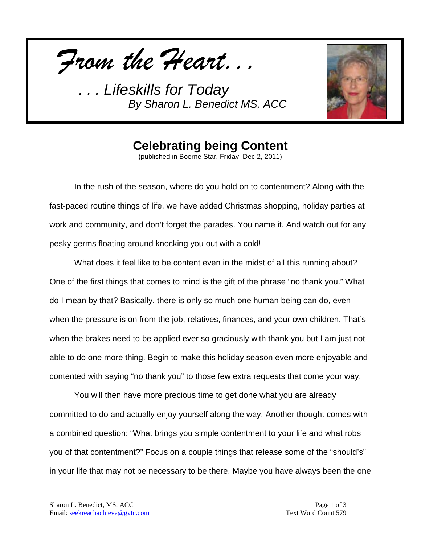*From the Heart...*

*. . . Lifeskills for Today By Sharon L. Benedict MS, ACC*



### **Celebrating being Content**

(published in Boerne Star, Friday, Dec 2, 2011)

In the rush of the season, where do you hold on to contentment? Along with the fast-paced routine things of life, we have added Christmas shopping, holiday parties at work and community, and don't forget the parades. You name it. And watch out for any pesky germs floating around knocking you out with a cold!

What does it feel like to be content even in the midst of all this running about? One of the first things that comes to mind is the gift of the phrase "no thank you." What do I mean by that? Basically, there is only so much one human being can do, even when the pressure is on from the job, relatives, finances, and your own children. That's when the brakes need to be applied ever so graciously with thank you but I am just not able to do one more thing. Begin to make this holiday season even more enjoyable and contented with saying "no thank you" to those few extra requests that come your way.

You will then have more precious time to get done what you are already committed to do and actually enjoy yourself along the way. Another thought comes with a combined question: "What brings you simple contentment to your life and what robs you of that contentment?" Focus on a couple things that release some of the "should's" in your life that may not be necessary to be there. Maybe you have always been the one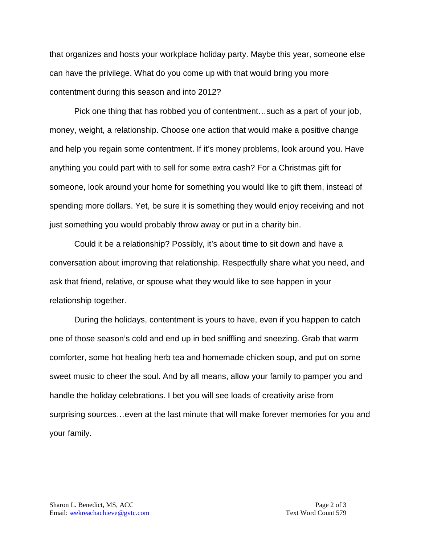that organizes and hosts your workplace holiday party. Maybe this year, someone else can have the privilege. What do you come up with that would bring you more contentment during this season and into 2012?

Pick one thing that has robbed you of contentment…such as a part of your job, money, weight, a relationship. Choose one action that would make a positive change and help you regain some contentment. If it's money problems, look around you. Have anything you could part with to sell for some extra cash? For a Christmas gift for someone, look around your home for something you would like to gift them, instead of spending more dollars. Yet, be sure it is something they would enjoy receiving and not just something you would probably throw away or put in a charity bin.

Could it be a relationship? Possibly, it's about time to sit down and have a conversation about improving that relationship. Respectfully share what you need, and ask that friend, relative, or spouse what they would like to see happen in your relationship together.

During the holidays, contentment is yours to have, even if you happen to catch one of those season's cold and end up in bed sniffling and sneezing. Grab that warm comforter, some hot healing herb tea and homemade chicken soup, and put on some sweet music to cheer the soul. And by all means, allow your family to pamper you and handle the holiday celebrations. I bet you will see loads of creativity arise from surprising sources…even at the last minute that will make forever memories for you and your family.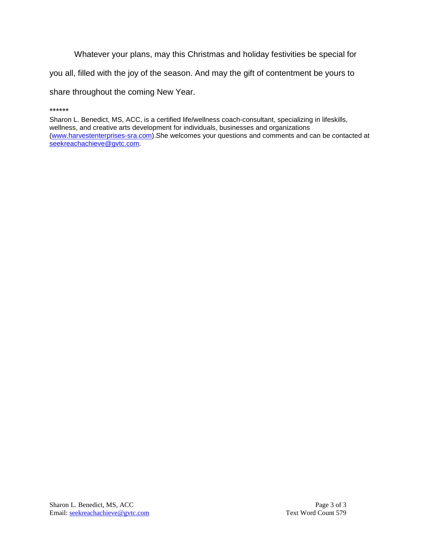Whatever your plans, may this Christmas and holiday festivities be special for

you all, filled with the joy of the season. And may the gift of contentment be yours to

share throughout the coming New Year.

Sharon L. Benedict, MS, ACC, is a certified life/wellness coach-consultant, specializing in lifeskills, wellness, and creative arts development for individuals, businesses and organizations [\(www.harvestenterprises-sra.com\)](http://www.harvestenterprises-sra.com/).She welcomes your questions and comments and can be contacted at [seekreachachieve@gvtc.com.](mailto:seekreachachieve@gvtc.com)

<sup>\*\*\*\*\*\*</sup>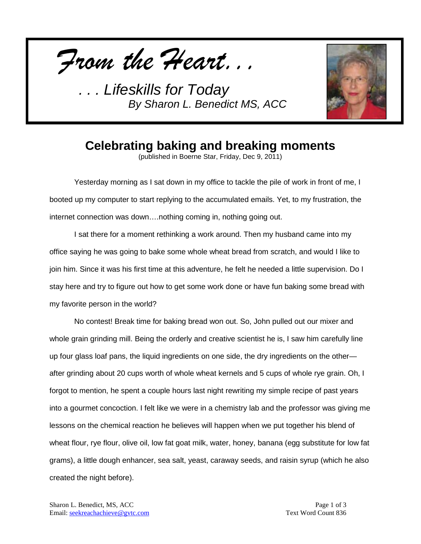

*. . . Lifeskills for Today By Sharon L. Benedict MS, ACC*



### **Celebrating baking and breaking moments**

(published in Boerne Star, Friday, Dec 9, 2011)

Yesterday morning as I sat down in my office to tackle the pile of work in front of me, I booted up my computer to start replying to the accumulated emails. Yet, to my frustration, the internet connection was down….nothing coming in, nothing going out.

I sat there for a moment rethinking a work around. Then my husband came into my office saying he was going to bake some whole wheat bread from scratch, and would I like to join him. Since it was his first time at this adventure, he felt he needed a little supervision. Do I stay here and try to figure out how to get some work done or have fun baking some bread with my favorite person in the world?

No contest! Break time for baking bread won out. So, John pulled out our mixer and whole grain grinding mill. Being the orderly and creative scientist he is, I saw him carefully line up four glass loaf pans, the liquid ingredients on one side, the dry ingredients on the other after grinding about 20 cups worth of whole wheat kernels and 5 cups of whole rye grain. Oh, I forgot to mention, he spent a couple hours last night rewriting my simple recipe of past years into a gourmet concoction. I felt like we were in a chemistry lab and the professor was giving me lessons on the chemical reaction he believes will happen when we put together his blend of wheat flour, rye flour, olive oil, low fat goat milk, water, honey, banana (egg substitute for low fat grams), a little dough enhancer, sea salt, yeast, caraway seeds, and raisin syrup (which he also created the night before).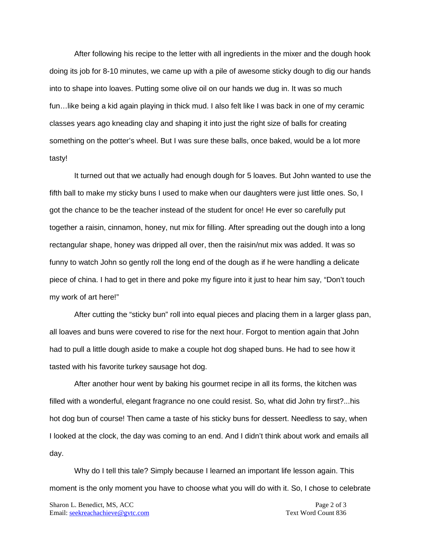After following his recipe to the letter with all ingredients in the mixer and the dough hook doing its job for 8-10 minutes, we came up with a pile of awesome sticky dough to dig our hands into to shape into loaves. Putting some olive oil on our hands we dug in. It was so much fun…like being a kid again playing in thick mud. I also felt like I was back in one of my ceramic classes years ago kneading clay and shaping it into just the right size of balls for creating something on the potter's wheel. But I was sure these balls, once baked, would be a lot more tasty!

It turned out that we actually had enough dough for 5 loaves. But John wanted to use the fifth ball to make my sticky buns I used to make when our daughters were just little ones. So, I got the chance to be the teacher instead of the student for once! He ever so carefully put together a raisin, cinnamon, honey, nut mix for filling. After spreading out the dough into a long rectangular shape, honey was dripped all over, then the raisin/nut mix was added. It was so funny to watch John so gently roll the long end of the dough as if he were handling a delicate piece of china. I had to get in there and poke my figure into it just to hear him say, "Don't touch my work of art here!"

After cutting the "sticky bun" roll into equal pieces and placing them in a larger glass pan, all loaves and buns were covered to rise for the next hour. Forgot to mention again that John had to pull a little dough aside to make a couple hot dog shaped buns. He had to see how it tasted with his favorite turkey sausage hot dog.

After another hour went by baking his gourmet recipe in all its forms, the kitchen was filled with a wonderful, elegant fragrance no one could resist. So, what did John try first?...his hot dog bun of course! Then came a taste of his sticky buns for dessert. Needless to say, when I looked at the clock, the day was coming to an end. And I didn't think about work and emails all day.

Why do I tell this tale? Simply because I learned an important life lesson again. This moment is the only moment you have to choose what you will do with it. So, I chose to celebrate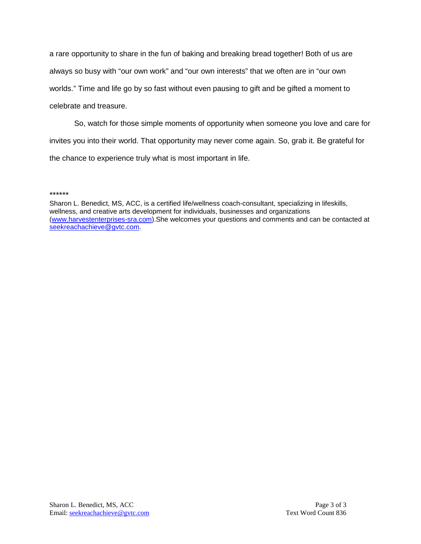a rare opportunity to share in the fun of baking and breaking bread together! Both of us are always so busy with "our own work" and "our own interests" that we often are in "our own worlds." Time and life go by so fast without even pausing to gift and be gifted a moment to celebrate and treasure.

So, watch for those simple moments of opportunity when someone you love and care for invites you into their world. That opportunity may never come again. So, grab it. Be grateful for the chance to experience truly what is most important in life.

#### \*\*\*\*\*\*

Sharon L. Benedict, MS, ACC, is a certified life/wellness coach-consultant, specializing in lifeskills, wellness, and creative arts development for individuals, businesses and organizations [\(www.harvestenterprises-sra.com\)](http://www.harvestenterprises-sra.com/).She welcomes your questions and comments and can be contacted at [seekreachachieve@gvtc.com.](mailto:seekreachachieve@gvtc.com)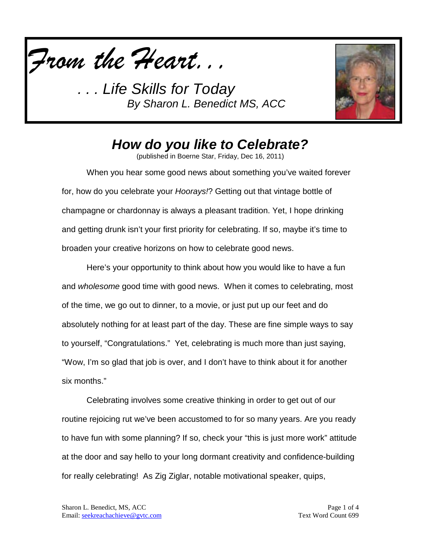

. Life Skills for Today *By Sharon L. Benedict MS, ACC*



### *How do you like to Celebrate?*

(published in Boerne Star, Friday, Dec 16, 2011)

When you hear some good news about something you've waited forever for, how do you celebrate your *Hoorays!*? Getting out that vintage bottle of champagne or chardonnay is always a pleasant tradition. Yet, I hope drinking and getting drunk isn't your first priority for celebrating. If so, maybe it's time to broaden your creative horizons on how to celebrate good news.

Here's your opportunity to think about how you would like to have a fun and *wholesome* good time with good news. When it comes to celebrating, most of the time, we go out to dinner, to a movie, or just put up our feet and do absolutely nothing for at least part of the day. These are fine simple ways to say to yourself, "Congratulations." Yet, celebrating is much more than just saying, "Wow, I'm so glad that job is over, and I don't have to think about it for another six months."

Celebrating involves some creative thinking in order to get out of our routine rejoicing rut we've been accustomed to for so many years. Are you ready to have fun with some planning? If so, check your "this is just more work" attitude at the door and say hello to your long dormant creativity and confidence-building for really celebrating! As Zig Ziglar, notable motivational speaker, quips,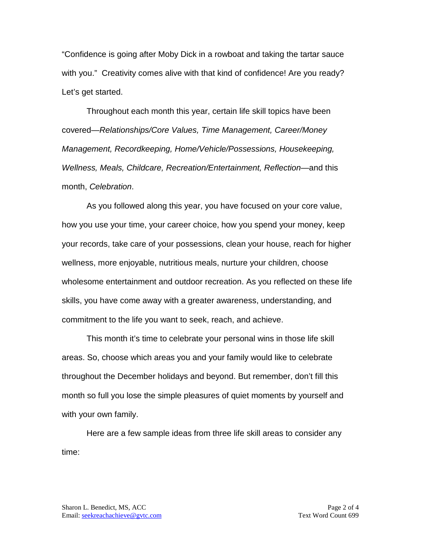"Confidence is going after Moby Dick in a rowboat and taking the tartar sauce with you." Creativity comes alive with that kind of confidence! Are you ready? Let's get started.

Throughout each month this year, certain life skill topics have been covered—*Relationships/Core Values, Time Management, Career/Money Management, Recordkeeping, Home/Vehicle/Possessions, Housekeeping, Wellness, Meals, Childcare, Recreation/Entertainment, Reflection—*and this month, *Celebration*.

As you followed along this year, you have focused on your core value, how you use your time, your career choice, how you spend your money, keep your records, take care of your possessions, clean your house, reach for higher wellness, more enjoyable, nutritious meals, nurture your children, choose wholesome entertainment and outdoor recreation. As you reflected on these life skills, you have come away with a greater awareness, understanding, and commitment to the life you want to seek, reach, and achieve.

This month it's time to celebrate your personal wins in those life skill areas. So, choose which areas you and your family would like to celebrate throughout the December holidays and beyond. But remember, don't fill this month so full you lose the simple pleasures of quiet moments by yourself and with your own family.

Here are a few sample ideas from three life skill areas to consider any time: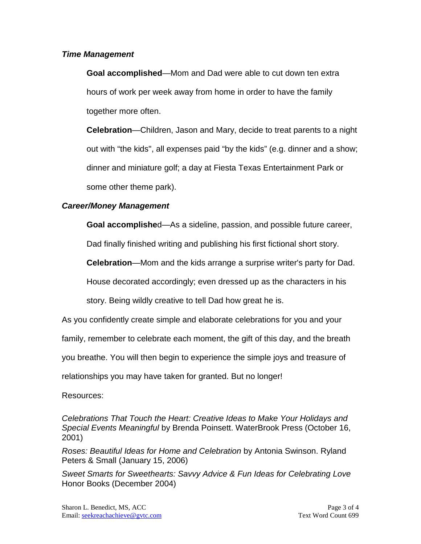### *Time Management*

**Goal accomplished**—Mom and Dad were able to cut down ten extra hours of work per week away from home in order to have the family together more often.

**Celebration**—Children, Jason and Mary, decide to treat parents to a night out with "the kids", all expenses paid "by the kids" (e.g. dinner and a show; dinner and miniature golf; a day at Fiesta Texas Entertainment Park or some other theme park).

### *Career/Money Management*

**Goal accomplishe**d—As a sideline, passion, and possible future career,

Dad finally finished writing and publishing his first fictional short story.

**Celebration**—Mom and the kids arrange a surprise writer's party for Dad.

House decorated accordingly; even dressed up as the characters in his

story. Being wildly creative to tell Dad how great he is.

As you confidently create simple and elaborate celebrations for you and your

family, remember to celebrate each moment, the gift of this day, and the breath

you breathe. You will then begin to experience the simple joys and treasure of

relationships you may have taken for granted. But no longer!

Resources:

*Celebrations That Touch the Heart: Creative Ideas to Make Your Holidays and Special Events Meaningful* by Brenda Poinsett. WaterBrook Press (October 16, 2001)

*Roses: Beautiful Ideas for Home and Celebration* by Antonia Swinson. Ryland Peters & Small (January 15, 2006)

*Sweet Smarts for Sweethearts: Savvy Advice & Fun Ideas for Celebrating Love* Honor Books (December 2004)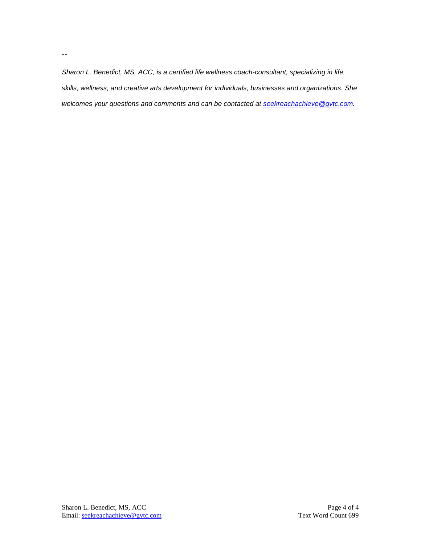*Sharon L. Benedict, MS, ACC, is a certified life wellness coach-consultant, specializing in life skills, wellness, and creative arts development for individuals, businesses and organizations. She welcomes your questions and comments and can be contacted at [seekreachachieve@gvtc.com.](mailto:seekreachachieve@gvtc.com)*

--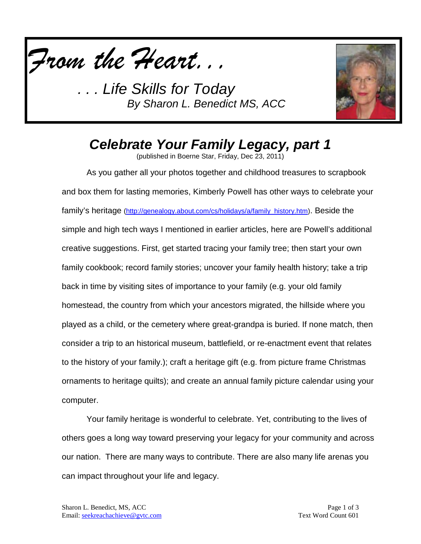

*Life Skills for Today By Sharon L. Benedict MS, ACC*



## *Celebrate Your Family Legacy, part 1*

(published in Boerne Star, Friday, Dec 23, 2011)

As you gather all your photos together and childhood treasures to scrapbook and box them for lasting memories, Kimberly Powell has other ways to celebrate your family's heritage [\(http://genealogy.about.com/cs/holidays/a/family\\_history.htm\)](http://genealogy.about.com/cs/holidays/a/family_history.htm). Beside the simple and high tech ways I mentioned in earlier articles, here are Powell's additional creative suggestions. First, get started tracing your family tree; then start your own family cookbook; record family stories; uncover your family health history; take a trip back in time by visiting sites of importance to your family (e.g. your old family homestead, the country from which your ancestors migrated, the hillside where you played as a child, or the cemetery where great-grandpa is buried. If none match, then consider a trip to an historical museum, battlefield, or re-enactment event that relates to the history of your family.); craft a heritage gift (e.g. from picture frame Christmas ornaments to heritage quilts); and create an annual family picture calendar using your computer.

Your family heritage is wonderful to celebrate. Yet, contributing to the lives of others goes a long way toward preserving your legacy for your community and across our nation. There are many ways to contribute. There are also many life arenas you can impact throughout your life and legacy.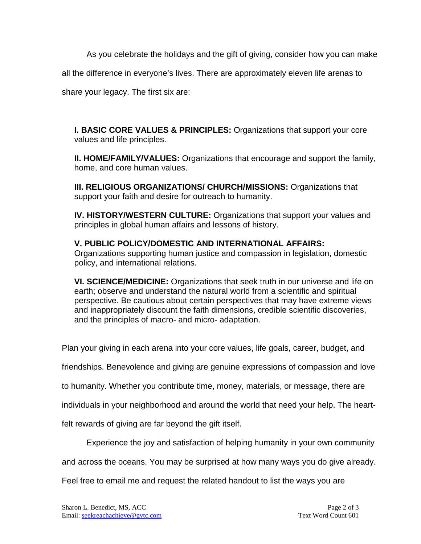As you celebrate the holidays and the gift of giving, consider how you can make

all the difference in everyone's lives. There are approximately eleven life arenas to

share your legacy. The first six are:

**I. BASIC CORE VALUES & PRINCIPLES:** Organizations that support your core values and life principles.

**II. HOME/FAMILY/VALUES:** Organizations that encourage and support the family, home, and core human values.

**III. RELIGIOUS ORGANIZATIONS/ CHURCH/MISSIONS:** Organizations that support your faith and desire for outreach to humanity.

**IV. HISTORY/WESTERN CULTURE:** Organizations that support your values and principles in global human affairs and lessons of history.

#### **V. PUBLIC POLICY/DOMESTIC AND INTERNATIONAL AFFAIRS:**  Organizations supporting human justice and compassion in legislation, domestic policy, and international relations.

**VI. SCIENCE/MEDICINE:** Organizations that seek truth in our universe and life on earth; observe and understand the natural world from a scientific and spiritual perspective. Be cautious about certain perspectives that may have extreme views and inappropriately discount the faith dimensions, credible scientific discoveries, and the principles of macro- and micro- adaptation.

Plan your giving in each arena into your core values, life goals, career, budget, and

friendships. Benevolence and giving are genuine expressions of compassion and love

to humanity. Whether you contribute time, money, materials, or message, there are

individuals in your neighborhood and around the world that need your help. The heart-

felt rewards of giving are far beyond the gift itself.

Experience the joy and satisfaction of helping humanity in your own community

and across the oceans. You may be surprised at how many ways you do give already.

Feel free to email me and request the related handout to list the ways you are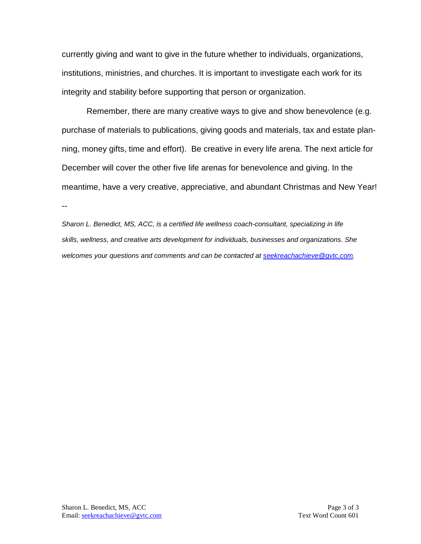currently giving and want to give in the future whether to individuals, organizations, institutions, ministries, and churches. It is important to investigate each work for its integrity and stability before supporting that person or organization.

Remember, there are many creative ways to give and show benevolence (e.g. purchase of materials to publications, giving goods and materials, tax and estate planning, money gifts, time and effort). Be creative in every life arena. The next article for December will cover the other five life arenas for benevolence and giving. In the meantime, have a very creative, appreciative, and abundant Christmas and New Year! --

*Sharon L. Benedict, MS, ACC, is a certified life wellness coach-consultant, specializing in life skills, wellness, and creative arts development for individuals, businesses and organizations. She welcomes your questions and comments and can be contacted at [seekreachachieve@gvtc.com.](mailto:seekreachachieve@gvtc.com)*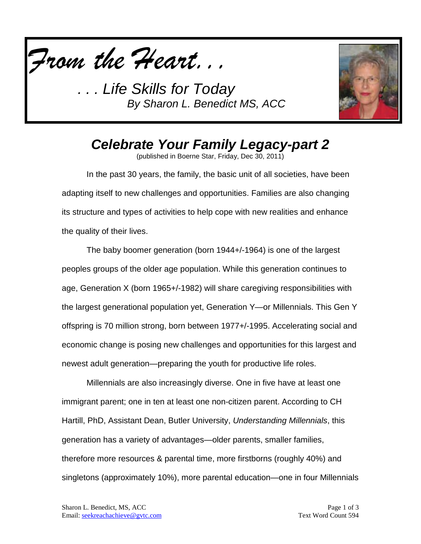

*. . . Life Skills for Today By Sharon L. Benedict MS, ACC*



# *Celebrate Your Family Legacy-part 2*

(published in Boerne Star, Friday, Dec 30, 2011)

In the past 30 years, the family, the basic unit of all societies, have been adapting itself to new challenges and opportunities. Families are also changing its structure and types of activities to help cope with new realities and enhance the quality of their lives.

The baby boomer generation (born 1944+/-1964) is one of the largest peoples groups of the older age population. While this generation continues to age, Generation X (born 1965+/-1982) will share caregiving responsibilities with the largest generational population yet, Generation Y—or Millennials. This Gen Y offspring is 70 million strong, born between 1977+/-1995. Accelerating social and economic change is posing new challenges and opportunities for this largest and newest adult generation—preparing the youth for productive life roles.

Millennials are also increasingly diverse. One in five have at least one immigrant parent; one in ten at least one non-citizen parent. According to CH Hartill, PhD, Assistant Dean, Butler University, *Understanding Millennials*, this generation has a variety of advantages—older parents, smaller families, therefore more resources & parental time, more firstborns (roughly 40%) and singletons (approximately 10%), more parental education—one in four Millennials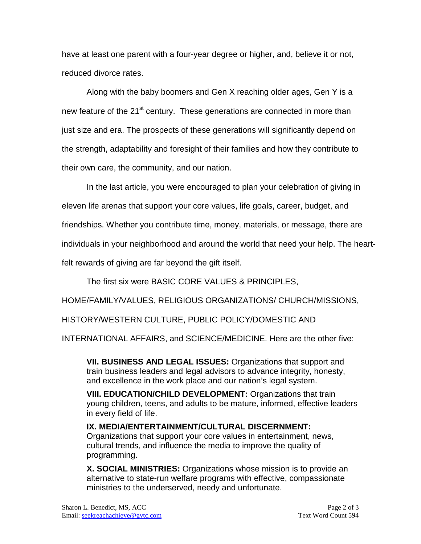have at least one parent with a four-year degree or higher, and, believe it or not, reduced divorce rates.

Along with the baby boomers and Gen X reaching older ages, Gen Y is a new feature of the 21<sup>st</sup> century. These generations are connected in more than just size and era. The prospects of these generations will significantly depend on the strength, adaptability and foresight of their families and how they contribute to their own care, the community, and our nation.

In the last article, you were encouraged to plan your celebration of giving in eleven life arenas that support your core values, life goals, career, budget, and friendships. Whether you contribute time, money, materials, or message, there are individuals in your neighborhood and around the world that need your help. The heartfelt rewards of giving are far beyond the gift itself.

The first six were BASIC CORE VALUES & PRINCIPLES,

HOME/FAMILY/VALUES, RELIGIOUS ORGANIZATIONS/ CHURCH/MISSIONS,

HISTORY/WESTERN CULTURE, PUBLIC POLICY/DOMESTIC AND

INTERNATIONAL AFFAIRS, and SCIENCE/MEDICINE. Here are the other five:

**VII. BUSINESS AND LEGAL ISSUES:** Organizations that support and train business leaders and legal advisors to advance integrity, honesty, and excellence in the work place and our nation's legal system.

**VIII. EDUCATION/CHILD DEVELOPMENT:** Organizations that train young children, teens, and adults to be mature, informed, effective leaders in every field of life.

**IX. MEDIA/ENTERTAINMENT/CULTURAL DISCERNMENT:**  Organizations that support your core values in entertainment, news, cultural trends, and influence the media to improve the quality of programming.

**X. SOCIAL MINISTRIES:** Organizations whose mission is to provide an alternative to state-run welfare programs with effective, compassionate ministries to the underserved, needy and unfortunate.